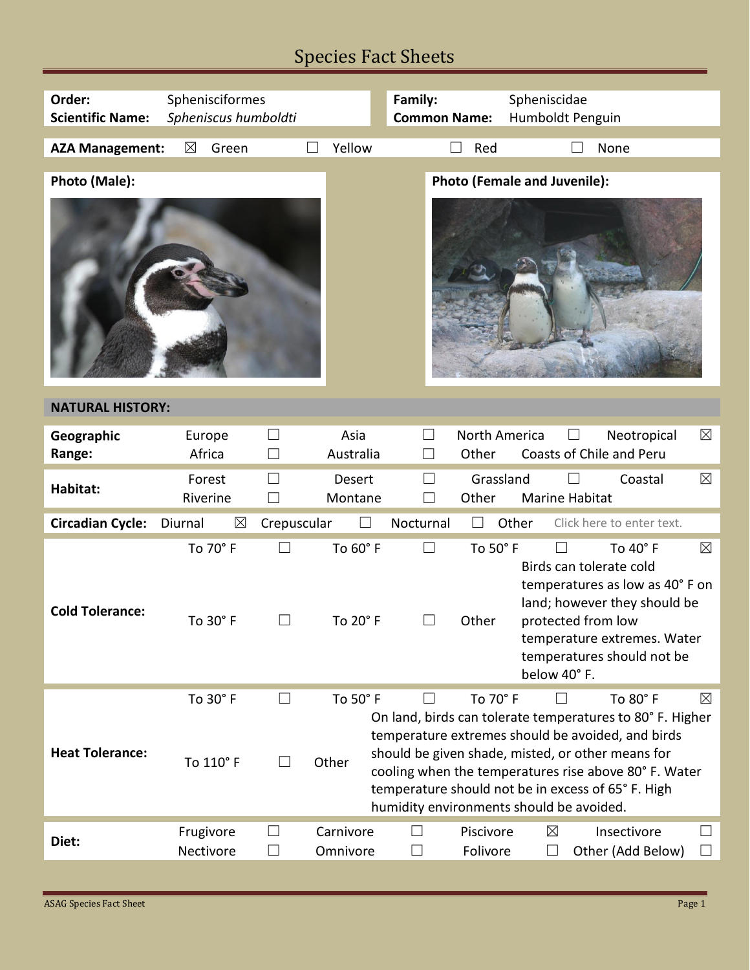## Species Fact Sheets

| Order:                  | Sphenisciformes        |                                                      | Family:                                                        | Spheniscidae                                                                                                                                                                                                                                                                                                           |  |  |  |  |
|-------------------------|------------------------|------------------------------------------------------|----------------------------------------------------------------|------------------------------------------------------------------------------------------------------------------------------------------------------------------------------------------------------------------------------------------------------------------------------------------------------------------------|--|--|--|--|
| <b>Scientific Name:</b> | Spheniscus humboldti   |                                                      | <b>Common Name:</b>                                            | Humboldt Penguin                                                                                                                                                                                                                                                                                                       |  |  |  |  |
| <b>AZA Management:</b>  | $\boxtimes$<br>Green   | Yellow                                               | Red                                                            | None                                                                                                                                                                                                                                                                                                                   |  |  |  |  |
|                         |                        |                                                      |                                                                |                                                                                                                                                                                                                                                                                                                        |  |  |  |  |
| Photo (Male):           |                        |                                                      |                                                                | <b>Photo (Female and Juvenile):</b>                                                                                                                                                                                                                                                                                    |  |  |  |  |
|                         |                        |                                                      |                                                                |                                                                                                                                                                                                                                                                                                                        |  |  |  |  |
| <b>NATURAL HISTORY:</b> |                        |                                                      |                                                                |                                                                                                                                                                                                                                                                                                                        |  |  |  |  |
| Geographic<br>Range:    | Europe<br>Africa       | Asia<br>$\vert \ \ \vert$<br>Australia<br>П          | $\vert \ \ \vert$<br>Other                                     | <b>North America</b><br>$\boxtimes$<br>Neotropical<br>Coasts of Chile and Peru                                                                                                                                                                                                                                         |  |  |  |  |
| Habitat:                | Forest<br>Riverine     | П<br>Desert<br>П<br>Montane                          | Other                                                          | $\boxtimes$<br>Grassland<br>Coastal<br>Marine Habitat                                                                                                                                                                                                                                                                  |  |  |  |  |
| <b>Circadian Cycle:</b> | $\boxtimes$<br>Diurnal | Crepuscular                                          | Nocturnal                                                      | Other<br>Click here to enter text.                                                                                                                                                                                                                                                                                     |  |  |  |  |
| <b>Cold Tolerance:</b>  | To 70° F<br>To 30° F   | $\Box$<br>To 60° F<br>To 20° F                       | $\Box$<br>To 50° F<br>Other                                    | $\boxtimes$<br>To 40° F<br>$\vert \ \ \vert$<br>Birds can tolerate cold<br>temperatures as low as 40° F on<br>land; however they should be<br>protected from low<br>temperature extremes. Water<br>temperatures should not be<br>below 40°F.                                                                           |  |  |  |  |
| <b>Heat Tolerance:</b>  | To 30° F<br>To 110° F  | To 50° F<br>$\vert \ \ \vert$<br>Other               | To 70° F<br>$\Box$<br>humidity environments should be avoided. | To 80° F<br>$\boxtimes$<br>$\Box$<br>On land, birds can tolerate temperatures to 80° F. Higher<br>temperature extremes should be avoided, and birds<br>should be given shade, misted, or other means for<br>cooling when the temperatures rise above 80° F. Water<br>temperature should not be in excess of 65°F. High |  |  |  |  |
| Diet:                   | Frugivore<br>Nectivore | Carnivore<br>$\Box$<br>Omnivore<br>$\vert \ \ \vert$ | Piscivore<br>Folivore<br>П                                     | Insectivore<br>$\boxtimes$<br>$\overline{\phantom{a}}$<br>Other (Add Below)<br>$\Box$<br>$\vert \ \ \vert$                                                                                                                                                                                                             |  |  |  |  |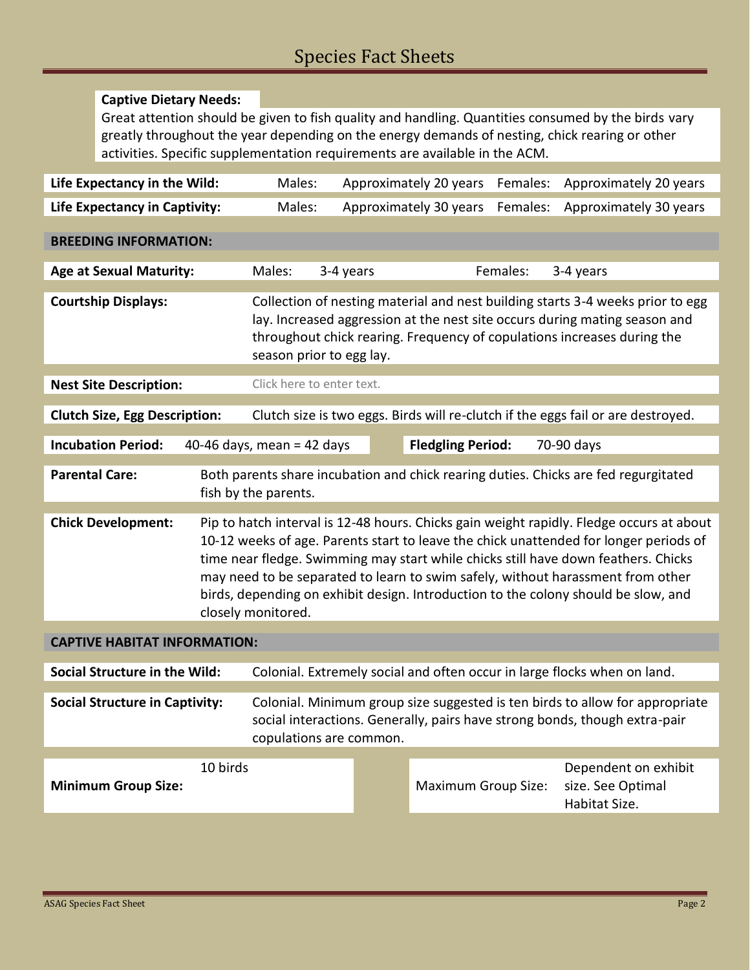## **Captive Dietary Needs:**

Great attention should be given to fish quality and handling. Quantities consumed by the birds vary greatly throughout the year depending on the energy demands of nesting, chick rearing or other activities. Specific supplementation requirements are available in the ACM.

| Life Expectancy in the Wild:                                                                                                         |                                                                                                                                                                                                                                                                                                                                                                                                                                                                        | Males:                                                                                                                                                                                                                                                              |  | Approximately 20 years     | Females: | Approximately 20 years                                                                                                                                     |  |
|--------------------------------------------------------------------------------------------------------------------------------------|------------------------------------------------------------------------------------------------------------------------------------------------------------------------------------------------------------------------------------------------------------------------------------------------------------------------------------------------------------------------------------------------------------------------------------------------------------------------|---------------------------------------------------------------------------------------------------------------------------------------------------------------------------------------------------------------------------------------------------------------------|--|----------------------------|----------|------------------------------------------------------------------------------------------------------------------------------------------------------------|--|
| <b>Life Expectancy in Captivity:</b>                                                                                                 |                                                                                                                                                                                                                                                                                                                                                                                                                                                                        | Males:                                                                                                                                                                                                                                                              |  | Approximately 30 years     | Females: | Approximately 30 years                                                                                                                                     |  |
| <b>BREEDING INFORMATION:</b>                                                                                                         |                                                                                                                                                                                                                                                                                                                                                                                                                                                                        |                                                                                                                                                                                                                                                                     |  |                            |          |                                                                                                                                                            |  |
| <b>Age at Sexual Maturity:</b>                                                                                                       |                                                                                                                                                                                                                                                                                                                                                                                                                                                                        | Males:<br>3-4 years                                                                                                                                                                                                                                                 |  |                            | Females: | 3-4 years                                                                                                                                                  |  |
| <b>Courtship Displays:</b>                                                                                                           |                                                                                                                                                                                                                                                                                                                                                                                                                                                                        | Collection of nesting material and nest building starts 3-4 weeks prior to egg<br>lay. Increased aggression at the nest site occurs during mating season and<br>throughout chick rearing. Frequency of copulations increases during the<br>season prior to egg lay. |  |                            |          |                                                                                                                                                            |  |
| <b>Nest Site Description:</b>                                                                                                        |                                                                                                                                                                                                                                                                                                                                                                                                                                                                        | Click here to enter text.                                                                                                                                                                                                                                           |  |                            |          |                                                                                                                                                            |  |
| <b>Clutch Size, Egg Description:</b>                                                                                                 |                                                                                                                                                                                                                                                                                                                                                                                                                                                                        |                                                                                                                                                                                                                                                                     |  |                            |          | Clutch size is two eggs. Birds will re-clutch if the eggs fail or are destroyed.                                                                           |  |
| <b>Incubation Period:</b>                                                                                                            |                                                                                                                                                                                                                                                                                                                                                                                                                                                                        | 40-46 days, mean = 42 days                                                                                                                                                                                                                                          |  | <b>Fledgling Period:</b>   |          | 70-90 days                                                                                                                                                 |  |
| <b>Parental Care:</b><br>Both parents share incubation and chick rearing duties. Chicks are fed regurgitated<br>fish by the parents. |                                                                                                                                                                                                                                                                                                                                                                                                                                                                        |                                                                                                                                                                                                                                                                     |  |                            |          |                                                                                                                                                            |  |
| <b>Chick Development:</b>                                                                                                            | Pip to hatch interval is 12-48 hours. Chicks gain weight rapidly. Fledge occurs at about<br>10-12 weeks of age. Parents start to leave the chick unattended for longer periods of<br>time near fledge. Swimming may start while chicks still have down feathers. Chicks<br>may need to be separated to learn to swim safely, without harassment from other<br>birds, depending on exhibit design. Introduction to the colony should be slow, and<br>closely monitored. |                                                                                                                                                                                                                                                                     |  |                            |          |                                                                                                                                                            |  |
| <b>CAPTIVE HABITAT INFORMATION:</b>                                                                                                  |                                                                                                                                                                                                                                                                                                                                                                                                                                                                        |                                                                                                                                                                                                                                                                     |  |                            |          |                                                                                                                                                            |  |
| <b>Social Structure in the Wild:</b>                                                                                                 |                                                                                                                                                                                                                                                                                                                                                                                                                                                                        | Colonial. Extremely social and often occur in large flocks when on land.                                                                                                                                                                                            |  |                            |          |                                                                                                                                                            |  |
| <b>Social Structure in Captivity:</b><br>copulations are common.                                                                     |                                                                                                                                                                                                                                                                                                                                                                                                                                                                        |                                                                                                                                                                                                                                                                     |  |                            |          | Colonial. Minimum group size suggested is ten birds to allow for appropriate<br>social interactions. Generally, pairs have strong bonds, though extra-pair |  |
|                                                                                                                                      | 10 birds                                                                                                                                                                                                                                                                                                                                                                                                                                                               |                                                                                                                                                                                                                                                                     |  |                            |          | Dependent on exhibit                                                                                                                                       |  |
| <b>Minimum Group Size:</b>                                                                                                           |                                                                                                                                                                                                                                                                                                                                                                                                                                                                        |                                                                                                                                                                                                                                                                     |  | <b>Maximum Group Size:</b> |          | size. See Optimal<br>Habitat Size.                                                                                                                         |  |
|                                                                                                                                      |                                                                                                                                                                                                                                                                                                                                                                                                                                                                        |                                                                                                                                                                                                                                                                     |  |                            |          |                                                                                                                                                            |  |